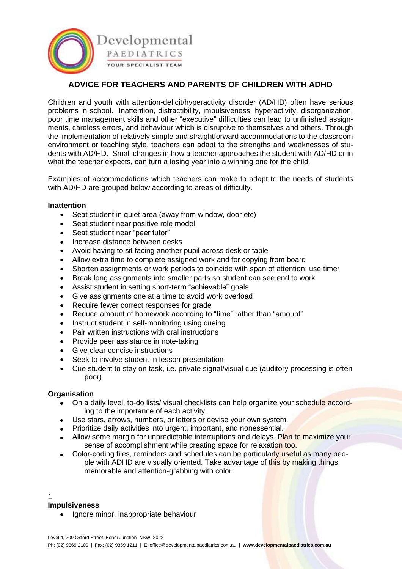

# **ADVICE FOR TEACHERS AND PARENTS OF CHILDREN WITH ADHD**

Children and youth with attention-deficit/hyperactivity disorder (AD/HD) often have serious problems in school. Inattention, distractibility, impulsiveness, hyperactivity, disorganization, poor time management skills and other "executive" difficulties can lead to unfinished assignments, careless errors, and behaviour which is disruptive to themselves and others. Through the implementation of relatively simple and straightforward accommodations to the classroom environment or teaching style, teachers can adapt to the strengths and weaknesses of students with AD/HD. Small changes in how a teacher approaches the student with AD/HD or in what the teacher expects, can turn a losing year into a winning one for the child.

Examples of accommodations which teachers can make to adapt to the needs of students with AD/HD are grouped below according to areas of difficulty.

### **Inattention**

- Seat student in quiet area (away from window, door etc)
- Seat student near positive role model
- Seat student near "peer tutor"
- Increase distance between desks
- Avoid having to sit facing another pupil across desk or table
- Allow extra time to complete assigned work and for copying from board
- Shorten assignments or work periods to coincide with span of attention; use timer
- Break long assignments into smaller parts so student can see end to work
- Assist student in setting short-term "achievable" goals
- Give assignments one at a time to avoid work overload
- Require fewer correct responses for grade
- Reduce amount of homework according to "time" rather than "amount"
- Instruct student in self-monitoring using cueing
- Pair written instructions with oral instructions
- Provide peer assistance in note-taking
- Give clear concise instructions
- Seek to involve student in lesson presentation
- Cue student to stay on task, i.e. private signal/visual cue (auditory processing is often poor)

#### **Organisation**

- On a daily level, to-do lists/ visual checklists can help organize your schedule according to the importance of each activity.
- Use stars, arrows, numbers, or letters or devise your own system.
- Prioritize daily activities into urgent, important, and nonessential.
- Allow some margin for unpredictable interruptions and delays. Plan to maximize your sense of accomplishment while creating space for relaxation too.
- Color-coding files, reminders and schedules can be particularly useful as many people with ADHD are visually oriented. Take advantage of this by making things memorable and attention-grabbing with color.

#### 1

#### **Impulsiveness**

• Ignore minor, inappropriate behaviour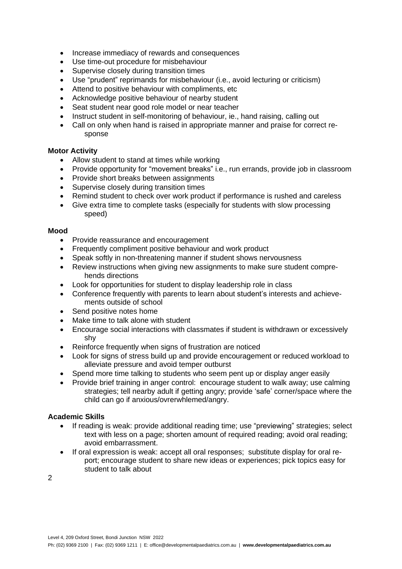- Increase immediacy of rewards and consequences
- Use time-out procedure for misbehaviour
- Supervise closely during transition times
- Use "prudent" reprimands for misbehaviour (i.e., avoid lecturing or criticism)
- Attend to positive behaviour with compliments, etc
- Acknowledge positive behaviour of nearby student
- Seat student near good role model or near teacher
- Instruct student in self-monitoring of behaviour, ie., hand raising, calling out
- Call on only when hand is raised in appropriate manner and praise for correct response

## **Motor Activity**

- Allow student to stand at times while working
- Provide opportunity for "movement breaks" i.e., run errands, provide job in classroom
- Provide short breaks between assignments
- Supervise closely during transition times
- Remind student to check over work product if performance is rushed and careless
- Give extra time to complete tasks (especially for students with slow processing speed)

#### **Mood**

- Provide reassurance and encouragement
- Frequently compliment positive behaviour and work product
- Speak softly in non-threatening manner if student shows nervousness
- Review instructions when giving new assignments to make sure student comprehends directions
- Look for opportunities for student to display leadership role in class
- Conference frequently with parents to learn about student's interests and achievements outside of school
- Send positive notes home
- Make time to talk alone with student
- Encourage social interactions with classmates if student is withdrawn or excessively shy
- Reinforce frequently when signs of frustration are noticed
- Look for signs of stress build up and provide encouragement or reduced workload to alleviate pressure and avoid temper outburst
- Spend more time talking to students who seem pent up or display anger easily
- Provide brief training in anger control: encourage student to walk away; use calming strategies; tell nearby adult if getting angry; provide 'safe' corner/space where the child can go if anxious/ovrerwhlemed/angry.

#### **Academic Skills**

- If reading is weak: provide additional reading time; use "previewing" strategies; select text with less on a page; shorten amount of required reading; avoid oral reading; avoid embarrassment.
- If oral expression is weak: accept all oral responses; substitute display for oral report; encourage student to share new ideas or experiences; pick topics easy for student to talk about

2